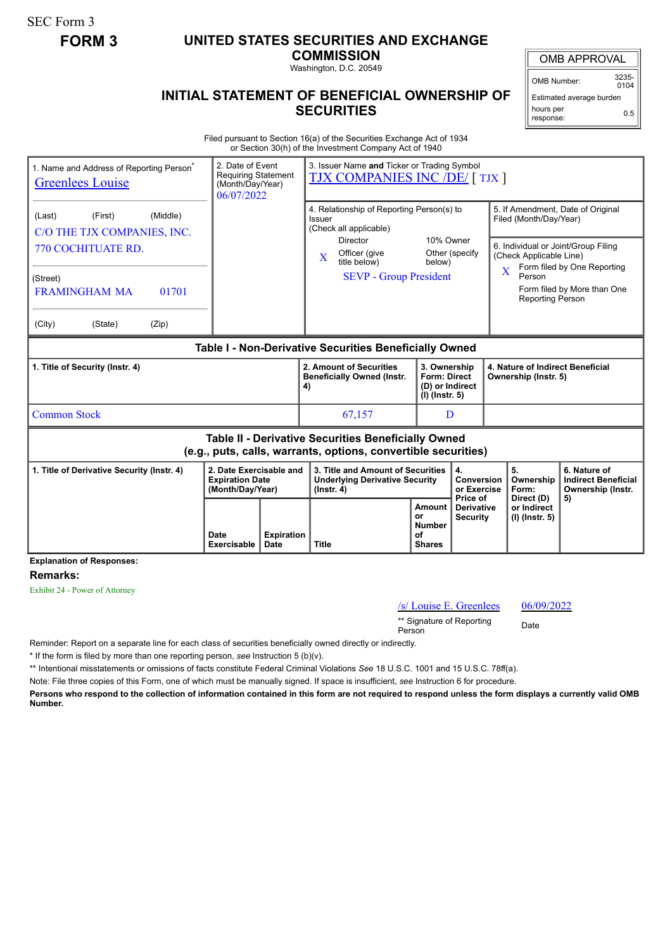SEC Form 3

## **FORM 3 UNITED STATES SECURITIES AND EXCHANGE**

**COMMISSION** Washington, D.C. 20549

## **INITIAL STATEMENT OF BENEFICIAL OWNERSHIP OF SECURITIES**

OMB APPROVAL

OMB Number: 3235-  $0104$ 

Estimated average burden hours per response: 0.5

Filed pursuant to Section 16(a) of the Securities Exchange Act of 1934 or Section 30(h) of the Investment Company Act of 1940

| 1. Name and Address of Reporting Person <sup>®</sup><br><b>Greenlees Louise</b>                                              | 3. Issuer Name and Ticker or Trading Symbol<br><b>TJX COMPANIES INC /DE/ [TJX ]</b> |                                                                                                |                                                                                              |                                                           |                                                                                               |                                                                       |  |
|------------------------------------------------------------------------------------------------------------------------------|-------------------------------------------------------------------------------------|------------------------------------------------------------------------------------------------|----------------------------------------------------------------------------------------------|-----------------------------------------------------------|-----------------------------------------------------------------------------------------------|-----------------------------------------------------------------------|--|
| (Middle)<br>(First)<br>(Last)<br>C/O THE TJX COMPANIES, INC.                                                                 |                                                                                     | 4. Relationship of Reporting Person(s) to<br><b>Issuer</b><br>(Check all applicable)           | 10% Owner                                                                                    |                                                           | 5. If Amendment, Date of Original<br>Filed (Month/Day/Year)                                   |                                                                       |  |
| 770 COCHITUATE RD.                                                                                                           |                                                                                     | Director<br>Officer (give<br>$\bf{X}$<br>title below)                                          |                                                                                              | Other (specify<br>below)                                  | 6. Individual or Joint/Group Filing<br>(Check Applicable Line)<br>Form filed by One Reporting |                                                                       |  |
| (Street)<br><b>FRAMINGHAM MA</b><br>01701                                                                                    |                                                                                     | <b>SEVP</b> - Group President                                                                  |                                                                                              |                                                           | X<br>Person<br>Form filed by More than One<br>Reporting Person                                |                                                                       |  |
| (City)<br>(State)<br>(Zip)                                                                                                   |                                                                                     |                                                                                                |                                                                                              |                                                           |                                                                                               |                                                                       |  |
| Table I - Non-Derivative Securities Beneficially Owned                                                                       |                                                                                     |                                                                                                |                                                                                              |                                                           |                                                                                               |                                                                       |  |
| 1. Title of Security (Instr. 4)                                                                                              |                                                                                     | 2. Amount of Securities<br><b>Beneficially Owned (Instr.</b><br>4)                             | 3. Ownership<br><b>Form: Direct</b><br>(D) or Indirect<br>(I) (Instr. 5)                     |                                                           | 4. Nature of Indirect Beneficial<br>Ownership (Instr. 5)                                      |                                                                       |  |
| <b>Common Stock</b>                                                                                                          |                                                                                     | 67,157                                                                                         | D                                                                                            |                                                           |                                                                                               |                                                                       |  |
| <b>Table II - Derivative Securities Beneficially Owned</b><br>(e.g., puts, calls, warrants, options, convertible securities) |                                                                                     |                                                                                                |                                                                                              |                                                           |                                                                                               |                                                                       |  |
| 1. Title of Derivative Security (Instr. 4)                                                                                   | 2. Date Exercisable and<br><b>Expiration Date</b><br>(Month/Day/Year)               | 3. Title and Amount of Securities<br><b>Underlying Derivative Security</b><br>$($ lnstr. 4 $)$ |                                                                                              | $\overline{4}$ .<br>Conversion<br>or Exercise<br>Price of | 5.<br>Ownership<br>Form:<br>Direct (D)<br>or Indirect<br>(I) (Instr. 5)                       | 6. Nature of<br><b>Indirect Beneficial</b><br>Ownership (Instr.<br>5) |  |
| <b>Explanation of Responses:</b>                                                                                             | <b>Expiration</b><br>Date<br><b>Exercisable</b><br>Date                             | <b>Title</b>                                                                                   | Amount<br><b>Derivative</b><br>or<br><b>Security</b><br><b>Number</b><br>οf<br><b>Shares</b> |                                                           |                                                                                               |                                                                       |  |
|                                                                                                                              |                                                                                     |                                                                                                |                                                                                              |                                                           |                                                                                               |                                                                       |  |

**Remarks:**

Exhibit 24 - Power of Attorney

 $/s$  Louise E. Greenlees  $06/09/2022$ 

\*\* Signature of Reporting <sub>Date</sub><br>Person

Reminder: Report on a separate line for each class of securities beneficially owned directly or indirectly.

\* If the form is filed by more than one reporting person, *see* Instruction 5 (b)(v).

\*\* Intentional misstatements or omissions of facts constitute Federal Criminal Violations *See* 18 U.S.C. 1001 and 15 U.S.C. 78ff(a).

Note: File three copies of this Form, one of which must be manually signed. If space is insufficient, *see* Instruction 6 for procedure.

**Persons who respond to the collection of information contained in this form are not required to respond unless the form displays a currently valid OMB Number.**